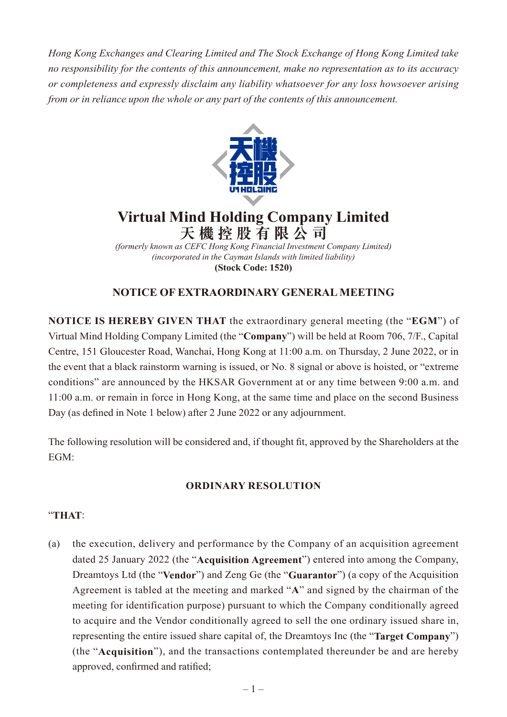*Hong Kong Exchanges and Clearing Limited and The Stock Exchange of Hong Kong Limited take no responsibility for the contents of this announcement, make no representation as to its accuracy or completeness and expressly disclaim any liability whatsoever for any loss howsoever arising from or in reliance upon the whole or any part of the contents of this announcement.*



# **Virtual Mind Holding Company Limited 天機控股有限公司**

*(formerly known as CEFC Hong Kong Financial Investment Company Limited) (incorporated in the Cayman Islands with limited liability)* **(Stock Code: 1520)**

## **NOTICE OF EXTRAORDINARY GENERAL MEETING**

**NOTICE IS HEREBY GIVEN THAT** the extraordinary general meeting (the "**EGM**") of Virtual Mind Holding Company Limited (the "**Company**") will be held at Room 706, 7/F., Capital Centre, 151 Gloucester Road, Wanchai, Hong Kong at 11:00 a.m. on Thursday, 2 June 2022, or in the event that a black rainstorm warning is issued, or No. 8 signal or above is hoisted, or "extreme conditions" are announced by the HKSAR Government at or any time between 9:00 a.m. and 11:00 a.m. or remain in force in Hong Kong, at the same time and place on the second Business Day (as defined in Note 1 below) after 2 June 2022 or any adjournment.

The following resolution will be considered and, if thought fit, approved by the Shareholders at the EGM:

### **ORDINARY RESOLUTION**

### "**THAT**:

(a) the execution, delivery and performance by the Company of an acquisition agreement dated 25 January 2022 (the "**Acquisition Agreement**") entered into among the Company, Dreamtoys Ltd (the "**Vendor**") and Zeng Ge (the "**Guarantor**") (a copy of the Acquisition Agreement is tabled at the meeting and marked "**A**" and signed by the chairman of the meeting for identification purpose) pursuant to which the Company conditionally agreed to acquire and the Vendor conditionally agreed to sell the one ordinary issued share in, representing the entire issued share capital of, the Dreamtoys Inc (the "**Target Company**") (the "**Acquisition**"), and the transactions contemplated thereunder be and are hereby approved, confirmed and ratified;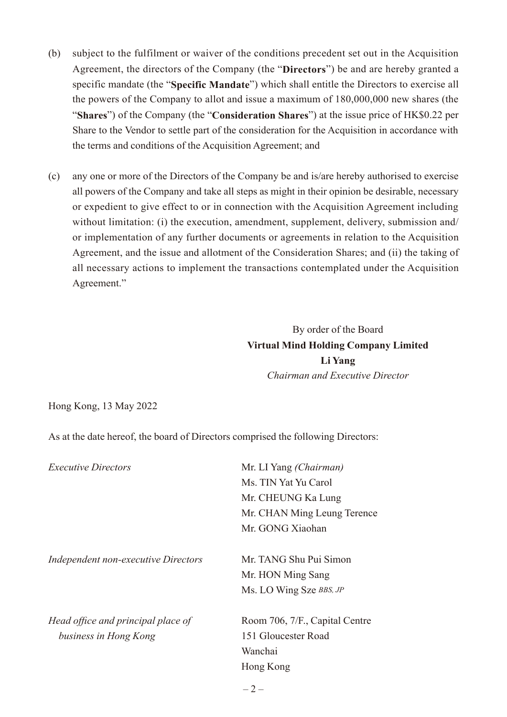- (b) subject to the fulfilment or waiver of the conditions precedent set out in the Acquisition Agreement, the directors of the Company (the "**Directors**") be and are hereby granted a specific mandate (the "**Specific Mandate**") which shall entitle the Directors to exercise all the powers of the Company to allot and issue a maximum of 180,000,000 new shares (the "**Shares**") of the Company (the "**Consideration Shares**") at the issue price of HK\$0.22 per Share to the Vendor to settle part of the consideration for the Acquisition in accordance with the terms and conditions of the Acquisition Agreement; and
- (c) any one or more of the Directors of the Company be and is/are hereby authorised to exercise all powers of the Company and take all steps as might in their opinion be desirable, necessary or expedient to give effect to or in connection with the Acquisition Agreement including without limitation: (i) the execution, amendment, supplement, delivery, submission and/ or implementation of any further documents or agreements in relation to the Acquisition Agreement, and the issue and allotment of the Consideration Shares; and (ii) the taking of all necessary actions to implement the transactions contemplated under the Acquisition Agreement."

By order of the Board **Virtual Mind Holding Company Limited Li Yang** *Chairman and Executive Director*

Hong Kong, 13 May 2022

As at the date hereof, the board of Directors comprised the following Directors:

| <i>Executive Directors</i>          | Mr. LI Yang <i>(Chairman)</i>  |
|-------------------------------------|--------------------------------|
|                                     | Ms. TIN Yat Yu Carol           |
|                                     | Mr. CHEUNG Ka Lung             |
|                                     | Mr. CHAN Ming Leung Terence    |
|                                     | Mr. GONG Xiaohan               |
|                                     | Mr. TANG Shu Pui Simon         |
| Independent non-executive Directors |                                |
|                                     | Mr. HON Ming Sang              |
|                                     | Ms. LO Wing Sze BBS, JP        |
| Head office and principal place of  | Room 706, 7/F., Capital Centre |
| business in Hong Kong               | 151 Gloucester Road            |
|                                     | Wanchai                        |
|                                     | Hong Kong                      |
|                                     |                                |

 $-2-$